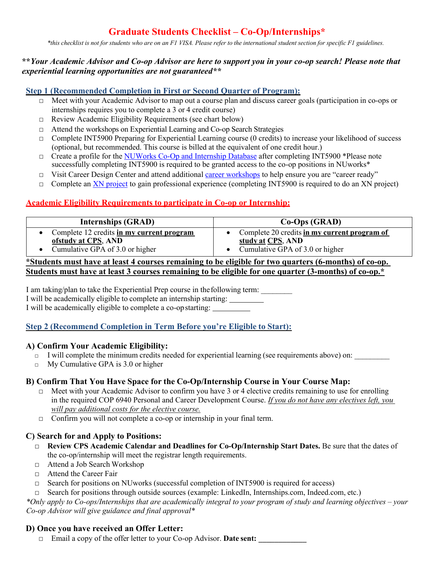# **Graduate Students Checklist – Co-Op/Internships\***

\*this checklist is not for students who are on an F1 VISA. Please refer to the international student section for specific F1 guidelines.

#### **\*\****Your Academic Advisor and Co-op Advisor are here to support you in your co-op search! Please note that experiential learning opportunities are not guaranteed\*\**

# **Step 1 (Recommended Completion in First or Second Quarter of Program):**

- □ Meet with your Academic Advisor to map out a course plan and discuss career goals (participation in co-ops or internships requires you to complete a 3 or 4 credit course)
- □ Review Academic Eligibility Requirements (see chart below)
- □ Attend the workshops on Experiential Learning and Co-op Search Strategies
- $\Box$  Complete INT5900 Preparing for Experiential Learning course (0 credits) to increase your likelihood of success (optional, but recommended. This course is billed at the equivalent of one credit hour.)
- □ Create a profile for the NUWorks Co-Op and Internship Database after completing INT5900 \*Please note successfully completing INT5900 is required to be granted access to the co-op positions in NUworks\*
- □ Visit Career Design Center and attend additional career workshops to help ensure you are "career ready"
- $\Box$  Complete an XN project to gain professional experience (completing INT5900 is required to do an XN project)

# **Academic Eligibility Requirements to participate in Co-op or Internship:**

| <b>Internships (GRAD)</b>                                                                               | $Co-Ops$ (GRAD)                                                                                      |
|---------------------------------------------------------------------------------------------------------|------------------------------------------------------------------------------------------------------|
| Complete 12 credits in my current program<br>ofstudy at CPS, AND<br>• Cumulative GPA of $3.0$ or higher | Complete 20 credits in my current program of<br>study at CPS, AND<br>Cumulative GPA of 3.0 or higher |
| *Students must have at least 4 courses remaining to be eligible for two quarters (6-months) of co-op.   |                                                                                                      |

# **Students must have at least 3 courses remaining to be eligible for one quarter (3-months) of co-op.\***

I am taking/plan to take the Experiential Prep course in the following term: I will be academically eligible to complete an internship starting: I will be academically eligible to complete a co-opstarting:

## **Step 2 (Recommend Completion in Term Before you're Eligible to Start):**

#### **A) Confirm Your Academic Eligibility:**

- $\Box$  I will complete the minimum credits needed for experiential learning (see requirements above) on:
- $\Box$  My Cumulative GPA is 3.0 or higher

## **B) Confirm That You Have Space for the Co-Op/Internship Course in Your Course Map:**

- $\Box$  Meet with your Academic Advisor to confirm you have 3 or 4 elective credits remaining to use for enrolling in the required COP 6940 Personal and Career Development Course. *If you do not have any electives left, you will pay additional costs for the elective course.*
- □ Confirm you will not complete a co-op or internship in your final term.

#### **C) Search for and Apply to Positions:**

- □ **Review CPS Academic Calendar and Deadlines for Co-Op/Internship Start Dates.** Be sure that the dates of the co-op/internship will meet the registrar length requirements.
- □ Attend a Job Search Workshop
- □ Attend the Career Fair
- □ Search for positions on NUworks (successful completion of INT5900 is required for access)
- □ Search for positions through outside sources (example: LinkedIn, Internships.com, Indeed.com, etc.)

*\*Only apply to Co-ops/Internships that are academically integral to your program of study and learning objectives – your Co-op Advisor will give guidance and final approval\**

## **D) Once you have received an Offer Letter:**

□ Email a copy of the offer letter to your Co-op Advisor. **Date sent: \_\_\_\_\_\_\_\_\_\_\_\_**